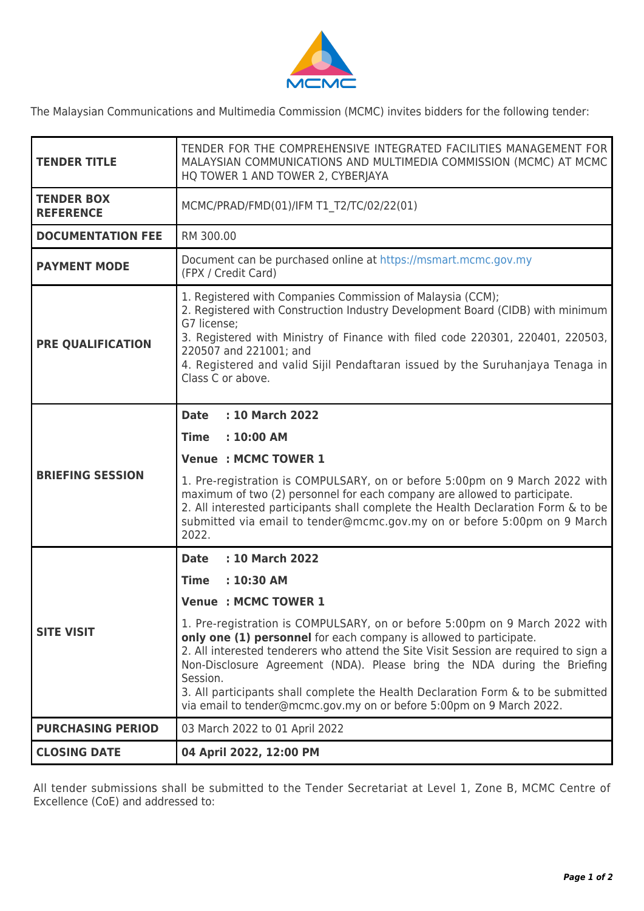

The Malaysian Communications and Multimedia Commission (MCMC) invites bidders for the following tender:

| <b>TENDER TITLE</b>                   | TENDER FOR THE COMPREHENSIVE INTEGRATED FACILITIES MANAGEMENT FOR<br>MALAYSIAN COMMUNICATIONS AND MULTIMEDIA COMMISSION (MCMC) AT MCMC<br>HQ TOWER 1 AND TOWER 2, CYBERJAYA                                                                                                                                                                                                   |
|---------------------------------------|-------------------------------------------------------------------------------------------------------------------------------------------------------------------------------------------------------------------------------------------------------------------------------------------------------------------------------------------------------------------------------|
| <b>TENDER BOX</b><br><b>REFERENCE</b> | MCMC/PRAD/FMD(01)/IFM T1 T2/TC/02/22(01)                                                                                                                                                                                                                                                                                                                                      |
| <b>DOCUMENTATION FEE</b>              | RM 300.00                                                                                                                                                                                                                                                                                                                                                                     |
| <b>PAYMENT MODE</b>                   | Document can be purchased online at https://msmart.mcmc.gov.my<br>(FPX / Credit Card)                                                                                                                                                                                                                                                                                         |
| <b>PRE QUALIFICATION</b>              | 1. Registered with Companies Commission of Malaysia (CCM);<br>2. Registered with Construction Industry Development Board (CIDB) with minimum<br>G7 license;<br>3. Registered with Ministry of Finance with filed code 220301, 220401, 220503,<br>220507 and 221001; and<br>4. Registered and valid Sijil Pendaftaran issued by the Suruhanjaya Tenaga in<br>Class C or above. |
|                                       | : 10 March 2022<br><b>Date</b><br>$: 10:00$ AM<br><b>Time</b><br><b>Venue : MCMC TOWER 1</b>                                                                                                                                                                                                                                                                                  |
| <b>BRIEFING SESSION</b>               | 1. Pre-registration is COMPULSARY, on or before 5:00pm on 9 March 2022 with<br>maximum of two (2) personnel for each company are allowed to participate.<br>2. All interested participants shall complete the Health Declaration Form & to be<br>submitted via email to tender@mcmc.gov.my on or before 5:00pm on 9 March<br>2022.                                            |
|                                       | : 10 March 2022<br><b>Date</b>                                                                                                                                                                                                                                                                                                                                                |
|                                       | <b>Time</b><br>$: 10:30$ AM                                                                                                                                                                                                                                                                                                                                                   |
|                                       | <b>Venue : MCMC TOWER 1</b>                                                                                                                                                                                                                                                                                                                                                   |
| <b>SITE VISIT</b>                     | 1. Pre-registration is COMPULSARY, on or before 5:00pm on 9 March 2022 with<br>only one (1) personnel for each company is allowed to participate.<br>2. All interested tenderers who attend the Site Visit Session are required to sign a<br>Non-Disclosure Agreement (NDA). Please bring the NDA during the Briefing<br>Session.                                             |
|                                       | 3. All participants shall complete the Health Declaration Form & to be submitted<br>via email to tender@mcmc.gov.my on or before 5:00pm on 9 March 2022.                                                                                                                                                                                                                      |
| <b>PURCHASING PERIOD</b>              | 03 March 2022 to 01 April 2022                                                                                                                                                                                                                                                                                                                                                |

All tender submissions shall be submitted to the Tender Secretariat at Level 1, Zone B, MCMC Centre of Excellence (CoE) and addressed to: